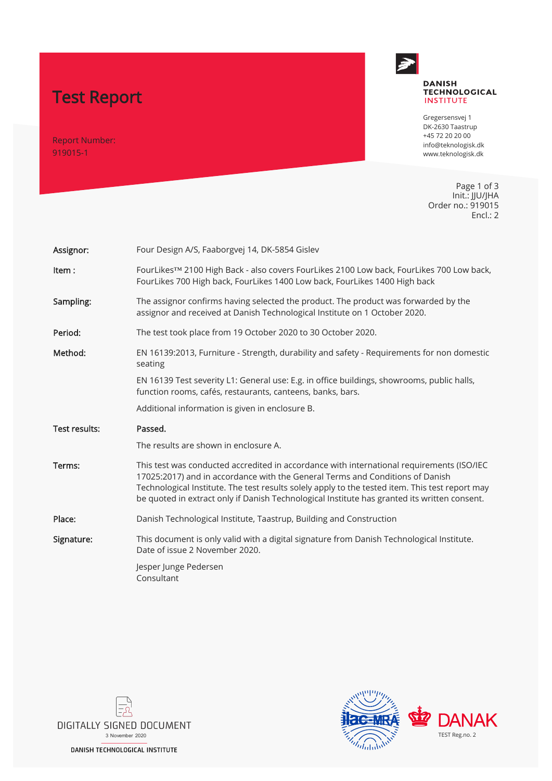# Test Report

Report Number: 919015-1



### **DANISH TECHNOLOGICAL**<br>INSTITUTE

Gregersensvej 1 DK-2630 Taastrup +45 72 20 20 00 info@teknologisk.dk www.teknologisk.dk

Page 1 of 3 Init.: JJU/JHA Order no.: 919015 Encl.: 2

| Assignor:     | Four Design A/S, Faaborgvej 14, DK-5854 Gislev                                                                                                                                                                                                                                                                                                                                |  |  |  |  |
|---------------|-------------------------------------------------------------------------------------------------------------------------------------------------------------------------------------------------------------------------------------------------------------------------------------------------------------------------------------------------------------------------------|--|--|--|--|
| Item:         | FourLikes™ 2100 High Back - also covers FourLikes 2100 Low back, FourLikes 700 Low back,<br>FourLikes 700 High back, FourLikes 1400 Low back, FourLikes 1400 High back                                                                                                                                                                                                        |  |  |  |  |
| Sampling:     | The assignor confirms having selected the product. The product was forwarded by the<br>assignor and received at Danish Technological Institute on 1 October 2020.                                                                                                                                                                                                             |  |  |  |  |
| Period:       | The test took place from 19 October 2020 to 30 October 2020.                                                                                                                                                                                                                                                                                                                  |  |  |  |  |
| Method:       | EN 16139:2013, Furniture - Strength, durability and safety - Requirements for non domestic<br>seating                                                                                                                                                                                                                                                                         |  |  |  |  |
|               | EN 16139 Test severity L1: General use: E.g. in office buildings, showrooms, public halls,<br>function rooms, cafés, restaurants, canteens, banks, bars.                                                                                                                                                                                                                      |  |  |  |  |
|               | Additional information is given in enclosure B.                                                                                                                                                                                                                                                                                                                               |  |  |  |  |
|               |                                                                                                                                                                                                                                                                                                                                                                               |  |  |  |  |
| Test results: | Passed.                                                                                                                                                                                                                                                                                                                                                                       |  |  |  |  |
|               | The results are shown in enclosure A.                                                                                                                                                                                                                                                                                                                                         |  |  |  |  |
| Terms:        | This test was conducted accredited in accordance with international requirements (ISO/IEC<br>17025:2017) and in accordance with the General Terms and Conditions of Danish<br>Technological Institute. The test results solely apply to the tested item. This test report may<br>be quoted in extract only if Danish Technological Institute has granted its written consent. |  |  |  |  |
| Place:        | Danish Technological Institute, Taastrup, Building and Construction                                                                                                                                                                                                                                                                                                           |  |  |  |  |
| Signature:    | This document is only valid with a digital signature from Danish Technological Institute.<br>Date of issue 2 November 2020.                                                                                                                                                                                                                                                   |  |  |  |  |



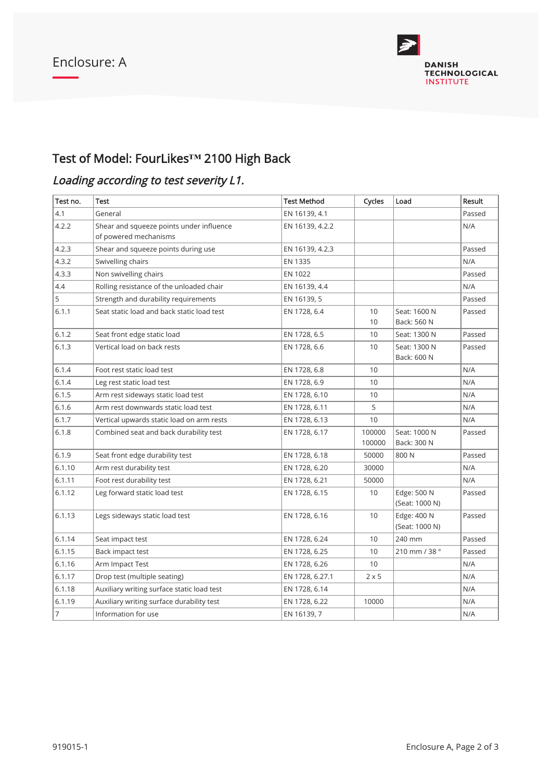

# Test of Model: FourLikes**™** 2100 High Back

# Loading according to test severity L1.

| Test no. | Test                                       | <b>Test Method</b> | Cycles           | Load                          | Result |
|----------|--------------------------------------------|--------------------|------------------|-------------------------------|--------|
| 4.1      | General                                    | EN 16139, 4.1      |                  |                               | Passed |
| 4.2.2    | Shear and squeeze points under influence   | EN 16139, 4.2.2    |                  |                               | N/A    |
|          | of powered mechanisms                      |                    |                  |                               |        |
| 4.2.3    | Shear and squeeze points during use        | EN 16139, 4.2.3    |                  |                               | Passed |
| 4.3.2    | Swivelling chairs                          | EN 1335            |                  |                               | N/A    |
| 4.3.3    | Non swivelling chairs                      | EN 1022            |                  |                               | Passed |
| 4.4      | Rolling resistance of the unloaded chair   | EN 16139, 4.4      |                  |                               | N/A    |
| 5        | Strength and durability requirements       | EN 16139, 5        |                  |                               | Passed |
| 6.1.1    | Seat static load and back static load test | EN 1728, 6.4       | 10<br>$10$       | Seat: 1600 N<br>Back: 560 N   | Passed |
| 6.1.2    | Seat front edge static load                | EN 1728, 6.5       | 10               | Seat: 1300 N                  | Passed |
| 6.1.3    | Vertical load on back rests                | EN 1728, 6.6       | 10               | Seat: 1300 N<br>Back: 600 N   | Passed |
| 6.1.4    | Foot rest static load test                 | EN 1728, 6.8       | 10               |                               | N/A    |
| 6.1.4    | Leg rest static load test                  | EN 1728, 6.9       | 10               |                               | N/A    |
| 6.1.5    | Arm rest sideways static load test         | EN 1728, 6.10      | 10               |                               | N/A    |
| 6.1.6    | Arm rest downwards static load test        | EN 1728, 6.11      | 5                |                               | N/A    |
| 6.1.7    | Vertical upwards static load on arm rests  | EN 1728, 6.13      | 10               |                               | N/A    |
| 6.1.8    | Combined seat and back durability test     | EN 1728, 6.17      | 100000<br>100000 | Seat: 1000 N<br>Back: 300 N   | Passed |
| 6.1.9    | Seat front edge durability test            | EN 1728, 6.18      | 50000            | 800N                          | Passed |
| 6.1.10   | Arm rest durability test                   | EN 1728, 6.20      | 30000            |                               | N/A    |
| 6.1.11   | Foot rest durability test                  | EN 1728, 6.21      | 50000            |                               | N/A    |
| 6.1.12   | Leg forward static load test               | EN 1728, 6.15      | 10               | Edge: 500 N<br>(Seat: 1000 N) | Passed |
| 6.1.13   | Legs sideways static load test             | EN 1728, 6.16      | 10               | Edge: 400 N<br>(Seat: 1000 N) | Passed |
| 6.1.14   | Seat impact test                           | EN 1728, 6.24      | 10               | 240 mm                        | Passed |
| 6.1.15   | Back impact test                           | EN 1728, 6.25      | 10               | 210 mm / 38 °                 | Passed |
| 6.1.16   | Arm Impact Test                            | EN 1728, 6.26      | 10               |                               | N/A    |
| 6.1.17   | Drop test (multiple seating)               | EN 1728, 6.27.1    | $2 \times 5$     |                               | N/A    |
| 6.1.18   | Auxiliary writing surface static load test | EN 1728, 6.14      |                  |                               | N/A    |
| 6.1.19   | Auxiliary writing surface durability test  | EN 1728, 6.22      | 10000            |                               | N/A    |
| 7        | Information for use                        | EN 16139, 7        |                  |                               | N/A    |